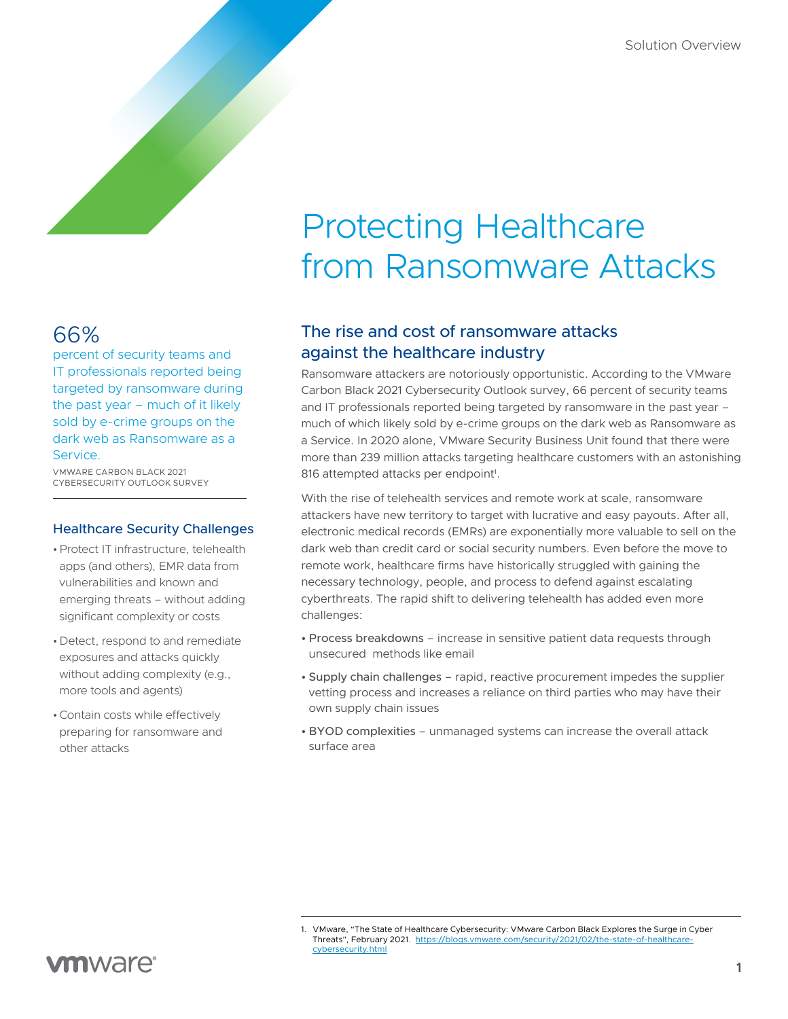# Protecting Healthcare from Ransomware Attacks

# 66%

percent of security teams and IT professionals reported being targeted by ransomware during the past year – much of it likely sold by e-crime groups on the dark web as Ransomware as a Service.

VMWARE CARBON BLACK 2021 CYBERSECURITY OUTLOOK SURVEY

#### Healthcare Security Challenges

- •Protect IT infrastructure, telehealth apps (and others), EMR data from vulnerabilities and known and emerging threats – without adding significant complexity or costs
- •Detect, respond to and remediate exposures and attacks quickly without adding complexity (e.g., more tools and agents)
- •Contain costs while effectively preparing for ransomware and other attacks

# The rise and cost of ransomware attacks against the healthcare industry

Ransomware attackers are notoriously opportunistic. According to the VMware Carbon Black 2021 Cybersecurity Outlook survey, 66 percent of security teams and IT professionals reported being targeted by ransomware in the past year – much of which likely sold by e-crime groups on the dark web as Ransomware as a Service. In 2020 alone, VMware Security Business Unit found that there were more than 239 million attacks targeting healthcare customers with an astonishing 816 attempted attacks per endpoint<sup>1</sup>.

With the rise of telehealth services and remote work at scale, ransomware attackers have new territory to target with lucrative and easy payouts. After all, electronic medical records (EMRs) are exponentially more valuable to sell on the dark web than credit card or social security numbers. Even before the move to remote work, healthcare firms have historically struggled with gaining the necessary technology, people, and process to defend against escalating cyberthreats. The rapid shift to delivering telehealth has added even more challenges:

- Process breakdowns increase in sensitive patient data requests through unsecured methods like email
- Supply chain challenges rapid, reactive procurement impedes the supplier vetting process and increases a reliance on third parties who may have their own supply chain issues
- BYOD complexities unmanaged systems can increase the overall attack surface area

<sup>1.</sup> VMware, "The State of Healthcare Cybersecurity: VMware Carbon Black Explores the Surge in Cyber Threats", February 2021. [https://blogs.vmware.com/security/2021/02/the-state-of-healthcare](https://blogs.vmware.com/security/2021/02/the-state-of-healthcare-cybersecurity.html)[cybersecurity.html](https://blogs.vmware.com/security/2021/02/the-state-of-healthcare-cybersecurity.html)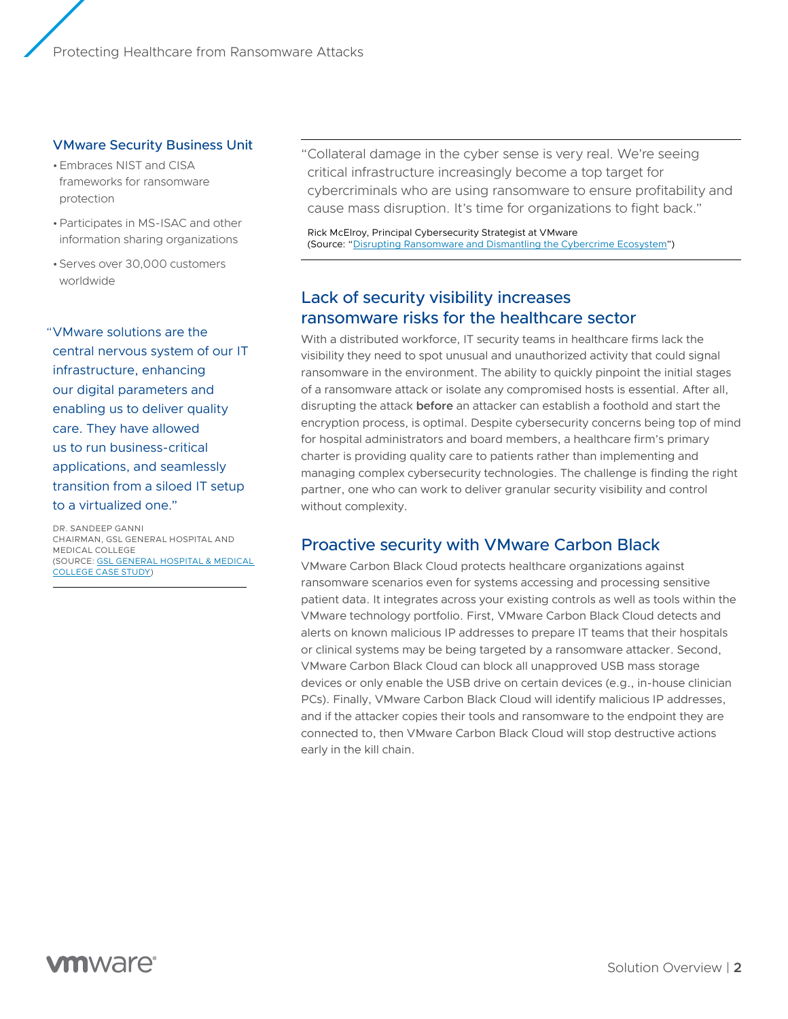#### VMware Security Business Unit

- •Embraces NIST and CISA frameworks for ransomware protection
- •Participates in MS-ISAC and other information sharing organizations
- •Serves over 30,000 customers worldwide

"VMware solutions are the central nervous system of our IT infrastructure, enhancing our digital parameters and enabling us to deliver quality care. They have allowed us to run business-critical applications, and seamlessly transition from a siloed IT setup to a virtualized one."

DR. SANDEEP GANNI CHAIRMAN, GSL GENERAL HOSPITAL AND MEDICAL COLLEGE (SOURCE: [GSL GENERAL HOSPITAL & MEDICAL](https://www.vmware.com/content/dam/digitalmarketing/vmware/en/pdf/customers/vmw-gsl-casestudy.pdf)  [COLLEGE CASE STUDY](https://www.vmware.com/content/dam/digitalmarketing/vmware/en/pdf/customers/vmw-gsl-casestudy.pdf))

"Collateral damage in the cyber sense is very real. We're seeing critical infrastructure increasingly become a top target for cybercriminals who are using ransomware to ensure profitability and cause mass disruption. It's time for organizations to fight back."

Rick McElroy, Principal Cybersecurity Strategist at VMware (Source: ["Disrupting Ransomware and Dismantling the Cybercrime Ecosystem](https://blogs.vmware.com/security/2021/06/disrupting-ransomware-and-dismantling-the-cybercrime-ecosystem.html)")

# Lack of security visibility increases ransomware risks for the healthcare sector

With a distributed workforce, IT security teams in healthcare firms lack the visibility they need to spot unusual and unauthorized activity that could signal ransomware in the environment. The ability to quickly pinpoint the initial stages of a ransomware attack or isolate any compromised hosts is essential. After all, disrupting the attack **before** an attacker can establish a foothold and start the encryption process, is optimal. Despite cybersecurity concerns being top of mind for hospital administrators and board members, a healthcare firm's primary charter is providing quality care to patients rather than implementing and managing complex cybersecurity technologies. The challenge is finding the right partner, one who can work to deliver granular security visibility and control without complexity.

### Proactive security with VMware Carbon Black

VMware Carbon Black Cloud protects healthcare organizations against ransomware scenarios even for systems accessing and processing sensitive patient data. It integrates across your existing controls as well as tools within the VMware technology portfolio. First, VMware Carbon Black Cloud detects and alerts on known malicious IP addresses to prepare IT teams that their hospitals or clinical systems may be being targeted by a ransomware attacker. Second, VMware Carbon Black Cloud can block all unapproved USB mass storage devices or only enable the USB drive on certain devices (e.g., in-house clinician PCs). Finally, VMware Carbon Black Cloud will identify malicious IP addresses, and if the attacker copies their tools and ransomware to the endpoint they are connected to, then VMware Carbon Black Cloud will stop destructive actions early in the kill chain.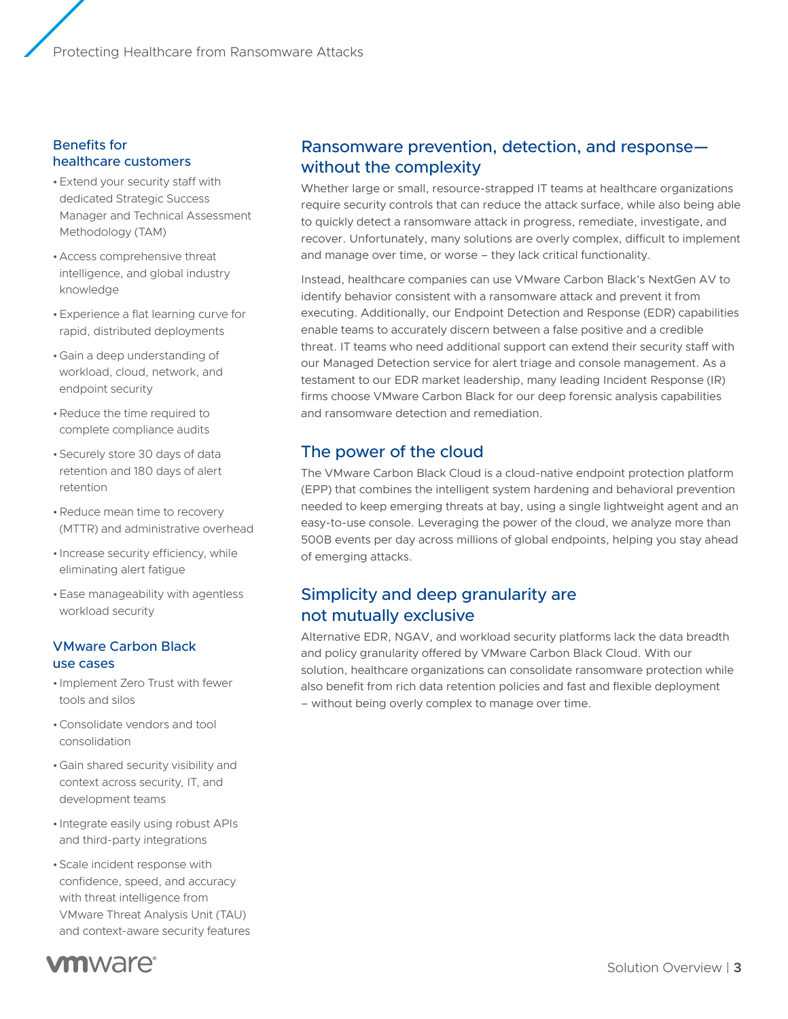#### Benefits for healthcare customers

- •Extend your security staff with dedicated Strategic Success Manager and Technical Assessment Methodology (TAM)
- •Access comprehensive threat intelligence, and global industry knowledge
- •Experience a flat learning curve for rapid, distributed deployments
- •Gain a deep understanding of workload, cloud, network, and endpoint security
- •Reduce the time required to complete compliance audits
- •Securely store 30 days of data retention and 180 days of alert retention
- •Reduce mean time to recovery (MTTR) and administrative overhead
- Increase security efficiency, while eliminating alert fatigue
- •Ease manageability with agentless workload security

#### VMware Carbon Black use cases

- Implement Zero Trust with fewer tools and silos
- •Consolidate vendors and tool consolidation
- •Gain shared security visibility and context across security, IT, and development teams
- Integrate easily using robust APIs and third-party integrations
- •Scale incident response with confidence, speed, and accuracy with threat intelligence from VMware Threat Analysis Unit (TAU) and context-aware security features



# Ransomware prevention, detection, and response without the complexity

Whether large or small, resource-strapped IT teams at healthcare organizations require security controls that can reduce the attack surface, while also being able to quickly detect a ransomware attack in progress, remediate, investigate, and recover. Unfortunately, many solutions are overly complex, difficult to implement and manage over time, or worse – they lack critical functionality.

Instead, healthcare companies can use VMware Carbon Black's NextGen AV to identify behavior consistent with a ransomware attack and prevent it from executing. Additionally, our Endpoint Detection and Response (EDR) capabilities enable teams to accurately discern between a false positive and a credible threat. IT teams who need additional support can extend their security staff with our Managed Detection service for alert triage and console management. As a testament to our EDR market leadership, many leading Incident Response (IR) firms choose VMware Carbon Black for our deep forensic analysis capabilities and ransomware detection and remediation.

# The power of the cloud

The VMware Carbon Black Cloud is a cloud-native endpoint protection platform (EPP) that combines the intelligent system hardening and behavioral prevention needed to keep emerging threats at bay, using a single lightweight agent and an easy-to-use console. Leveraging the power of the cloud, we analyze more than 500B events per day across millions of global endpoints, helping you stay ahead of emerging attacks.

# Simplicity and deep granularity are not mutually exclusive

Alternative EDR, NGAV, and workload security platforms lack the data breadth and policy granularity offered by VMware Carbon Black Cloud. With our solution, healthcare organizations can consolidate ransomware protection while also benefit from rich data retention policies and fast and flexible deployment – without being overly complex to manage over time.